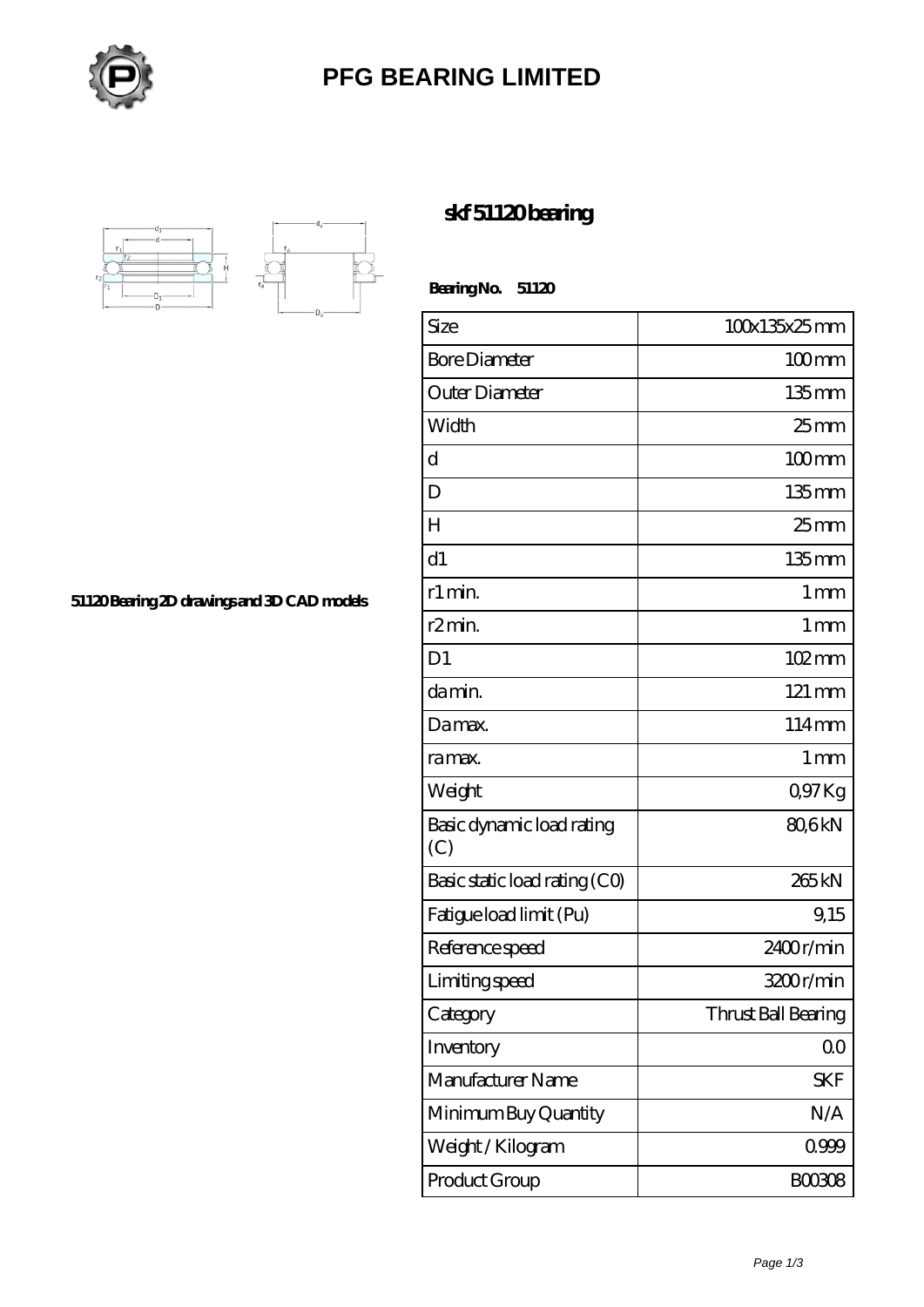

## **[PFG BEARING LIMITED](https://m.meatcuttersclub.org)**



**[51120 Bearing 2D drawings and 3D CAD models](https://m.meatcuttersclub.org/pic-456802.html)**

## **[skf 51120 bearing](https://m.meatcuttersclub.org/skf-bearing/skf-51120/)**

 **Bearing No. 51120**

| Size                             | 100x135x25mm        |
|----------------------------------|---------------------|
| <b>Bore Diameter</b>             | $100$ mm            |
| Outer Diameter                   | $135$ mm            |
| Width                            | 25 <sub>mm</sub>    |
| $\mathbf d$                      | $100$ mm            |
| D                                | $135$ mm            |
| H                                | $25$ mm             |
| d1                               | $135$ mm            |
| r1 min.                          | $1 \,\mathrm{mm}$   |
| r <sub>2</sub> min.              | $1 \,\mathrm{mm}$   |
| D <sub>1</sub>                   | 102mm               |
| da min.                          | 121 mm              |
| Damax.                           | 114mm               |
| ra max.                          | $1 \,\mathrm{mm}$   |
| Weight                           | Q97Kg               |
| Basic dynamic load rating<br>(C) | 80,6kN              |
| Basic static load rating (CO)    | 265 <sub>kN</sub>   |
| Fatigue load limit (Pu)          | 9,15                |
| Reference speed                  | 2400r/min           |
| Limiting speed                   | 3200r/min           |
| Category                         | Thrust Ball Bearing |
| Inventory                        | 0 <sub>0</sub>      |
| Manufacturer Name                | <b>SKF</b>          |
| Minimum Buy Quantity             | N/A                 |
| Weight / Kilogram                | 0999                |
| Product Group                    | <b>BOO3O8</b>       |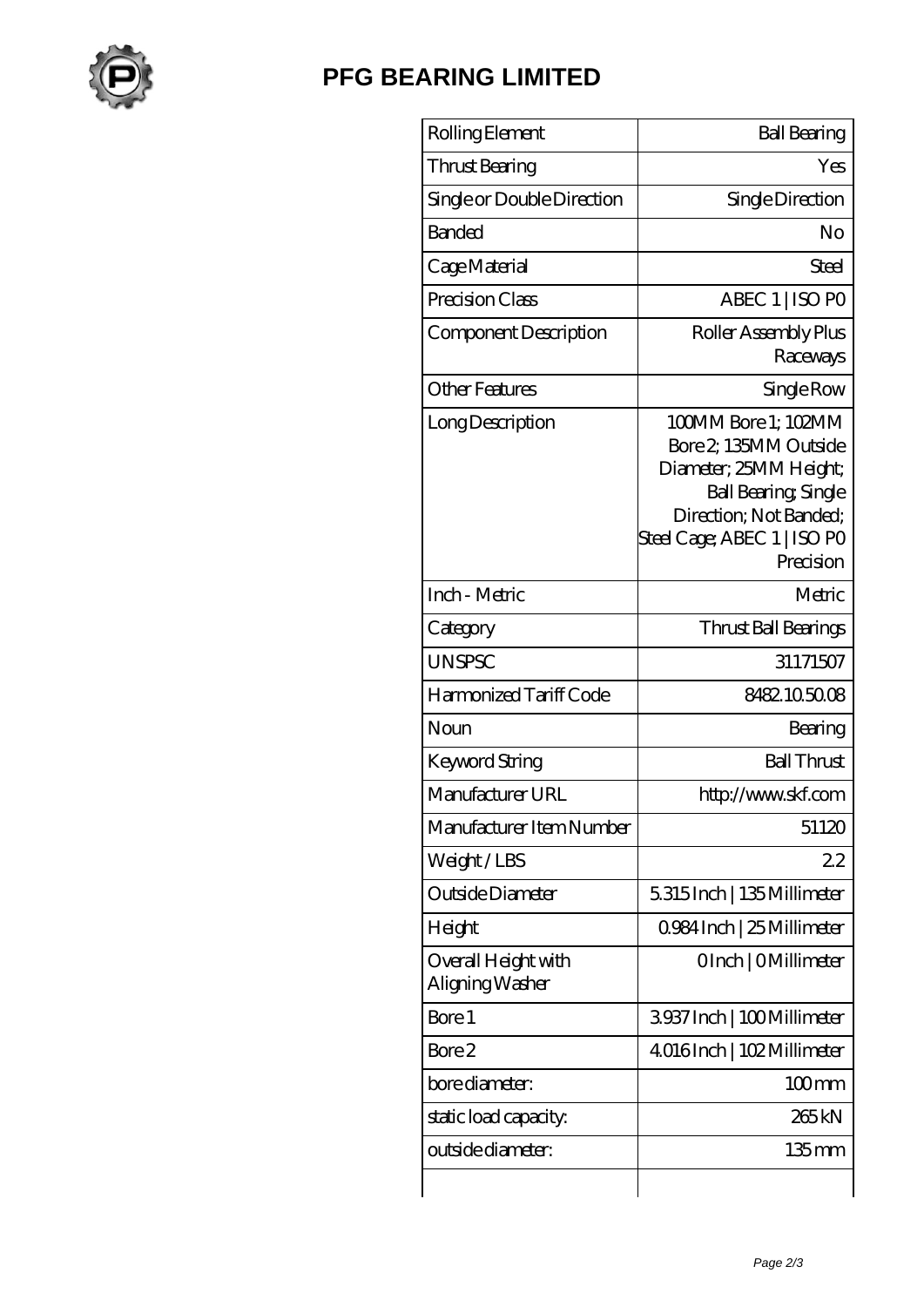

## **[PFG BEARING LIMITED](https://m.meatcuttersclub.org)**

| Rolling Element                        | <b>Ball Bearing</b>                                                                                                                                                         |
|----------------------------------------|-----------------------------------------------------------------------------------------------------------------------------------------------------------------------------|
| Thrust Bearing                         | Yes                                                                                                                                                                         |
| Single or Double Direction             | Single Direction                                                                                                                                                            |
| <b>Banded</b>                          | No                                                                                                                                                                          |
| Cage Material                          | Steel                                                                                                                                                                       |
| Precision Class                        | ABEC 1   ISO PO                                                                                                                                                             |
| Component Description                  | Roller Assembly Plus<br>Raceways                                                                                                                                            |
| <b>Other Features</b>                  | Single Row                                                                                                                                                                  |
| Long Description                       | 100MM Bore 1; 102MM<br>Bore 2, 135MM Outside<br>Diameter; 25MM Height;<br><b>Ball Bearing, Single</b><br>Direction; Not Banded;<br>Steel Cage; ABEC 1   ISO PO<br>Precision |
| Inch - Metric                          | Metric                                                                                                                                                                      |
| Category                               | Thrust Ball Bearings                                                                                                                                                        |
| <b>UNSPSC</b>                          | 31171507                                                                                                                                                                    |
| Harmonized Tariff Code                 | 8482105008                                                                                                                                                                  |
| Noun                                   | Bearing                                                                                                                                                                     |
| Keyword String                         | <b>Ball Thrust</b>                                                                                                                                                          |
| Manufacturer URL                       | http://www.skf.com                                                                                                                                                          |
| Manufacturer Item Number               | 51120                                                                                                                                                                       |
| Weight/LBS                             | 22                                                                                                                                                                          |
| Outside Diameter                       | 5315Inch   135Millimeter                                                                                                                                                    |
| Height                                 | 0.984 Inch   25 Millimeter                                                                                                                                                  |
| Overall Height with<br>Aligning Washer | OInch   OMillimeter                                                                                                                                                         |
| Bore 1                                 | 3937 Inch   100 Millimeter                                                                                                                                                  |
| Bore 2                                 | 4016Inch   102Millimeter                                                                                                                                                    |
| bore diameter:                         | $100$ mm                                                                                                                                                                    |
| static load capacity.                  | 265 <sub>kN</sub>                                                                                                                                                           |
| outside diameter:                      | $135$ mm                                                                                                                                                                    |